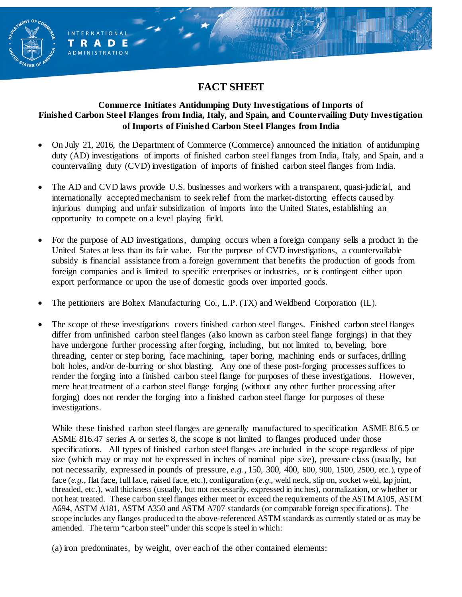# **FACT SHEET**

**AENT OF CO** 

ERNATIONAL

**RADE ADMINISTRATION** 

т

#### **Commerce Initiates Antidumping Duty Investigations of Imports of Finished Carbon Steel Flanges from India, Italy, and Spain, and Countervailing Duty Investigation of Imports of Finished Carbon Steel Flanges from India**

- On July 21, 2016, the Department of Commerce (Commerce) announced the initiation of antidumping duty (AD) investigations of imports of finished carbon steel flanges from India, Italy, and Spain, and a countervailing duty (CVD) investigation of imports of finished carbon steel flanges from India.
- The AD and CVD laws provide U.S. businesses and workers with a transparent, quasi-judicial, and internationally accepted mechanism to seek relief from the market-distorting effects caused by injurious dumping and unfair subsidization of imports into the United States, establishing an opportunity to compete on a level playing field.
- For the purpose of AD investigations, dumping occurs when a foreign company sells a product in the United States at less than its fair value. For the purpose of CVD investigations, a countervailable subsidy is financial assistance from a foreign government that benefits the production of goods from foreign companies and is limited to specific enterprises or industries, or is contingent either upon export performance or upon the use of domestic goods over imported goods.
- The petitioners are Boltex Manufacturing Co., L.P. (TX) and Weldbend Corporation (IL).
- The scope of these investigations covers finished carbon steel flanges. Finished carbon steel flanges differ from unfinished carbon steel flanges (also known as carbon steel flange forgings) in that they have undergone further processing after forging, including, but not limited to, beveling, bore threading, center or step boring, face machining, taper boring, machining ends or surfaces, drilling bolt holes, and/or de-burring or shot blasting. Any one of these post-forging processes suffices to render the forging into a finished carbon steel flange for purposes of these investigations. However, mere heat treatment of a carbon steel flange forging (without any other further processing after forging) does not render the forging into a finished carbon steel flange for purposes of these investigations.

While these finished carbon steel flanges are generally manufactured to specification ASME 816.5 or ASME 816.47 series A or series 8, the scope is not limited to flanges produced under those specifications. All types of finished carbon steel flanges are included in the scope regardless of pipe size (which may or may not be expressed in inches of nominal pipe size), pressure class (usually, but not necessarily, expressed in pounds of pressure, *e.g.*, 150, 300, 400, 600, 900, 1500, 2500, etc.), type of face (*e.g.*, flat face, full face, raised face, etc.), configuration (*e.g.*, weld neck, slip on, socket weld, lap joint, threaded, etc.), wall thickness (usually, but not necessarily, expressed in inches), normalization, or whether or not heat treated. These carbon steel flanges either meet or exceed the requirements of the ASTM A105, ASTM A694, ASTM A181, ASTM A350 and ASTM A707 standards (or comparable foreign specifications). The scope includes any flanges produced to the above-referenced ASTM standards as currently stated or as may be amended. The term "carbon steel" under this scope is steel in which:

(a) iron predominates, by weight, over each of the other contained elements: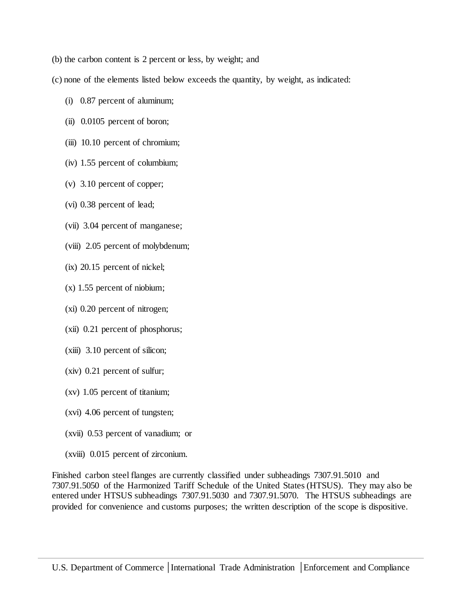- (b) the carbon content is 2 percent or less, by weight; and
- (c) none of the elements listed below exceeds the quantity, by weight, as indicated:
	- (i) 0.87 percent of aluminum;
	- (ii) 0.0105 percent of boron;
	- (iii) 10.10 percent of chromium;
	- (iv) 1.55 percent of columbium;
	- (v) 3.10 percent of copper;
	- (vi) 0.38 percent of lead;
	- (vii) 3.04 percent of manganese;
	- (viii) 2.05 percent of molybdenum;
	- (ix) 20.15 percent of nickel;
	- (x) 1.55 percent of niobium;
	- (xi) 0.20 percent of nitrogen;
	- (xii) 0.21 percent of phosphorus;
	- (xiii) 3.10 percent of silicon;
	- (xiv) 0.21 percent of sulfur;
	- (xv) 1.05 percent of titanium;
	- (xvi) 4.06 percent of tungsten;
	- (xvii) 0.53 percent of vanadium; or
	- (xviii) 0.015 percent of zirconium.

Finished carbon steel flanges are currently classified under subheadings 7307.91.5010 and 7307.91.5050 of the Harmonized Tariff Schedule of the United States (HTSUS). They may also be entered under HTSUS subheadings 7307.91.5030 and 7307.91.5070. The HTSUS subheadings are provided for convenience and customs purposes; the written description of the scope is dispositive.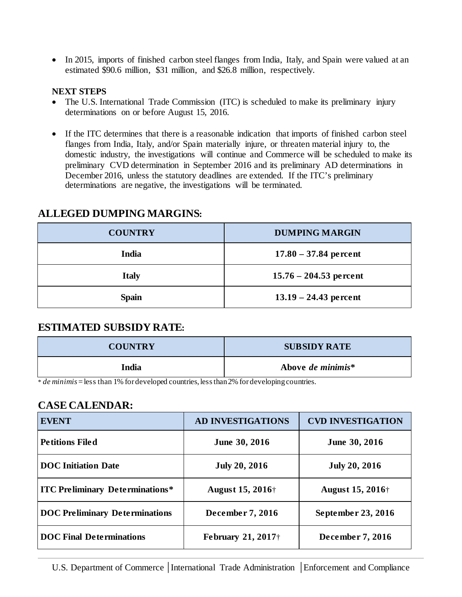• In 2015, imports of finished carbon steel flanges from India, Italy, and Spain were valued at an estimated \$90.6 million, \$31 million, and \$26.8 million, respectively.

#### **NEXT STEPS**

- The U.S. International Trade Commission (ITC) is scheduled to make its preliminary injury determinations on or before August 15, 2016.
- If the ITC determines that there is a reasonable indication that imports of finished carbon steel flanges from India, Italy, and/or Spain materially injure, or threaten material injury to, the domestic industry, the investigations will continue and Commerce will be scheduled to make its preliminary CVD determination in September 2016 and its preliminary AD determinations in December 2016, unless the statutory deadlines are extended. If the ITC's preliminary determinations are negative, the investigations will be terminated.

## **ALLEGED DUMPING MARGINS:**

| <b>COUNTRY</b> | <b>DUMPING MARGIN</b>    |
|----------------|--------------------------|
| India          | $17.80 - 37.84$ percent  |
| <b>Italy</b>   | $15.76 - 204.53$ percent |
| <b>Spain</b>   | $13.19 - 24.43$ percent  |

## **ESTIMATED SUBSIDY RATE:**

| <b>COUNTRY</b> | <b>SUBSIDY RATE</b> |  |
|----------------|---------------------|--|
| India          | Above de minimis*   |  |

\* *de minimis* = less than 1% for developed countries, less than 2% for developing countries.

## **CASE CALENDAR:**

| <b>EVENT</b>                           | <b>AD INVESTIGATIONS</b>   | <b>CVD INVESTIGATION</b> |
|----------------------------------------|----------------------------|--------------------------|
| <b>Petitions Filed</b>                 | June 30, 2016              | June 30, 2016            |
| <b>DOC</b> Initiation Date             | <b>July 20, 2016</b>       | <b>July 20, 2016</b>     |
| <b>ITC Preliminary Determinations*</b> | <b>August 15, 2016</b> †   | <b>August 15, 2016</b> † |
| <b>DOC Preliminary Determinations</b>  | <b>December 7, 2016</b>    | September 23, 2016       |
| <b>DOC Final Determinations</b>        | <b>February 21, 2017</b> † | December 7, 2016         |